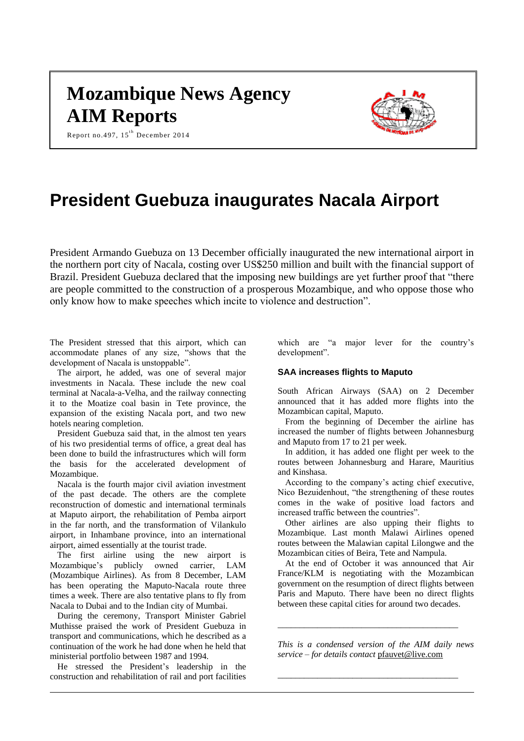# **Mozambique News Agency AIM Reports**

Report no.497, 15<sup>th</sup> December 2014



# **President Guebuza inaugurates Nacala Airport**

President Armando Guebuza on 13 December officially inaugurated the new international airport in the northern port city of Nacala, costing over US\$250 million and built with the financial support of Brazil. President Guebuza declared that the imposing new buildings are yet further proof that "there are people committed to the construction of a prosperous Mozambique, and who oppose those who only know how to make speeches which incite to violence and destruction".

The President stressed that this airport, which can accommodate planes of any size, "shows that the development of Nacala is unstoppable".

The airport, he added, was one of several major investments in Nacala. These include the new coal terminal at Nacala-a-Velha, and the railway connecting it to the Moatize coal basin in Tete province, the expansion of the existing Nacala port, and two new hotels nearing completion.

President Guebuza said that, in the almost ten years of his two presidential terms of office, a great deal has been done to build the infrastructures which will form the basis for the accelerated development of Mozambique.

Nacala is the fourth major civil aviation investment of the past decade. The others are the complete reconstruction of domestic and international terminals at Maputo airport, the rehabilitation of Pemba airport in the far north, and the transformation of Vilankulo airport, in Inhambane province, into an international airport, aimed essentially at the tourist trade.

The first airline using the new airport is Mozambique's publicly owned carrier, LAM (Mozambique Airlines). As from 8 December, LAM has been operating the Maputo-Nacala route three times a week. There are also tentative plans to fly from Nacala to Dubai and to the Indian city of Mumbai.

During the ceremony, Transport Minister Gabriel Muthisse praised the work of President Guebuza in transport and communications, which he described as a continuation of the work he had done when he held that ministerial portfolio between 1987 and 1994.

He stressed the President's leadership in the construction and rehabilitation of rail and port facilities

which are "a major lever for the country's development".

# **SAA increases flights to Maputo**

South African Airways (SAA) on 2 December announced that it has added more flights into the Mozambican capital, Maputo.

From the beginning of December the airline has increased the number of flights between Johannesburg and Maputo from 17 to 21 per week.

In addition, it has added one flight per week to the routes between Johannesburg and Harare, Mauritius and Kinshasa.

According to the company's acting chief executive, Nico Bezuidenhout, "the strengthening of these routes comes in the wake of positive load factors and increased traffic between the countries".

Other airlines are also upping their flights to Mozambique. Last month Malawi Airlines opened routes between the Malawian capital Lilongwe and the Mozambican cities of Beira, Tete and Nampula.

At the end of October it was announced that Air France/KLM is negotiating with the Mozambican government on the resumption of direct flights between Paris and Maputo. There have been no direct flights between these capital cities for around two decades.

*This is a condensed version of the AIM daily news service – for details contact* [pfauvet@live.com](mailto:pfauvet@live.com)

*\_\_\_\_\_\_\_\_\_\_\_\_\_\_\_\_\_\_\_\_\_\_\_\_\_\_\_\_\_\_\_\_\_\_\_\_\_\_\_\_\_*

*\_\_\_\_\_\_\_\_\_\_\_\_\_\_\_\_\_\_\_\_\_\_\_\_\_\_\_\_\_\_\_\_\_\_\_\_\_\_\_\_\_*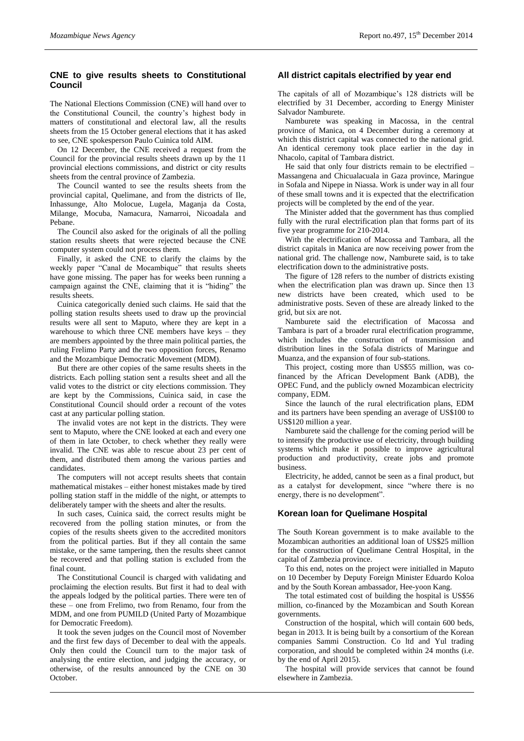# **CNE to give results sheets to Constitutional Council**

The National Elections Commission (CNE) will hand over to the Constitutional Council, the country's highest body in matters of constitutional and electoral law, all the results sheets from the 15 October general elections that it has asked to see, CNE spokesperson Paulo Cuinica told AIM.

On 12 December, the CNE received a request from the Council for the provincial results sheets drawn up by the 11 provincial elections commissions, and district or city results sheets from the central province of Zambezia.

The Council wanted to see the results sheets from the provincial capital, Quelimane, and from the districts of Ile, Inhassunge, Alto Molocue, Lugela, Maganja da Costa, Milange, Mocuba, Namacura, Namarroi, Nicoadala and Pebane.

The Council also asked for the originals of all the polling station results sheets that were rejected because the CNE computer system could not process them.

Finally, it asked the CNE to clarify the claims by the weekly paper "Canal de Mocambique" that results sheets have gone missing. The paper has for weeks been running a campaign against the CNE, claiming that it is "hiding" the results sheets.

Cuinica categorically denied such claims. He said that the polling station results sheets used to draw up the provincial results were all sent to Maputo, where they are kept in a warehouse to which three CNE members have keys – they are members appointed by the three main political parties, the ruling Frelimo Party and the two opposition forces, Renamo and the Mozambique Democratic Movement (MDM).

But there are other copies of the same results sheets in the districts. Each polling station sent a results sheet and all the valid votes to the district or city elections commission. They are kept by the Commissions, Cuinica said, in case the Constitutional Council should order a recount of the votes cast at any particular polling station.

The invalid votes are not kept in the districts. They were sent to Maputo, where the CNE looked at each and every one of them in late October, to check whether they really were invalid. The CNE was able to rescue about 23 per cent of them, and distributed them among the various parties and candidates.

The computers will not accept results sheets that contain mathematical mistakes – either honest mistakes made by tired polling station staff in the middle of the night, or attempts to deliberately tamper with the sheets and alter the results.

In such cases, Cuinica said, the correct results might be recovered from the polling station minutes, or from the copies of the results sheets given to the accredited monitors from the political parties. But if they all contain the same mistake, or the same tampering, then the results sheet cannot be recovered and that polling station is excluded from the final count.

The Constitutional Council is charged with validating and proclaiming the election results. But first it had to deal with the appeals lodged by the political parties. There were ten of these – one from Frelimo, two from Renamo, four from the MDM, and one from PUMILD (United Party of Mozambique for Democratic Freedom).

It took the seven judges on the Council most of November and the first few days of December to deal with the appeals. Only then could the Council turn to the major task of analysing the entire election, and judging the accuracy, or otherwise, of the results announced by the CNE on 30 October.

# **All district capitals electrified by year end**

The capitals of all of Mozambique's 128 districts will be electrified by 31 December, according to Energy Minister Salvador Namburete.

Namburete was speaking in Macossa, in the central province of Manica, on 4 December during a ceremony at which this district capital was connected to the national grid. An identical ceremony took place earlier in the day in Nhacolo, capital of Tambara district.

He said that only four districts remain to be electrified – Massangena and Chicualacuala in Gaza province, Maringue in Sofala and Nipepe in Niassa. Work is under way in all four of these small towns and it is expected that the electrification projects will be completed by the end of the year.

The Minister added that the government has thus complied fully with the rural electrification plan that forms part of its five year programme for 210-2014.

With the electrification of Macossa and Tambara, all the district capitals in Manica are now receiving power from the national grid. The challenge now, Namburete said, is to take electrification down to the administrative posts.

The figure of 128 refers to the number of districts existing when the electrification plan was drawn up. Since then 13 new districts have been created, which used to be administrative posts. Seven of these are already linked to the grid, but six are not.

Namburete said the electrification of Macossa and Tambara is part of a broader rural electrification programme, which includes the construction of transmission and distribution lines in the Sofala districts of Maringue and Muanza, and the expansion of four sub-stations.

This project, costing more than US\$55 million, was cofinanced by the African Development Bank (ADB), the OPEC Fund, and the publicly owned Mozambican electricity company, EDM.

Since the launch of the rural electrification plans, EDM and its partners have been spending an average of US\$100 to US\$120 million a year.

Namburete said the challenge for the coming period will be to intensify the productive use of electricity, through building systems which make it possible to improve agricultural production and productivity, create jobs and promote business.

Electricity, he added, cannot be seen as a final product, but as a catalyst for development, since "where there is no energy, there is no development".

#### **Korean loan for Quelimane Hospital**

The South Korean government is to make available to the Mozambican authorities an additional loan of US\$25 million for the construction of Quelimane Central Hospital, in the capital of Zambezia province.

To this end, notes on the project were initialled in Maputo on 10 December by Deputy Foreign Minister Eduardo Koloa and by the South Korean ambassador, Hee-yoon Kang.

The total estimated cost of building the hospital is US\$56 million, co-financed by the Mozambican and South Korean governments.

Construction of the hospital, which will contain 600 beds, began in 2013. It is being built by a consortium of the Korean companies Sammi Construction. Co ltd and Yul trading corporation, and should be completed within 24 months (i.e. by the end of April 2015).

The hospital will provide services that cannot be found elsewhere in Zambezia.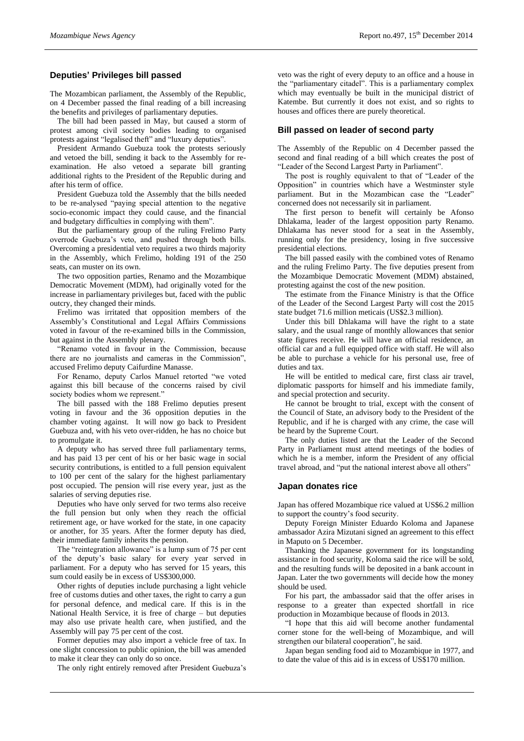# **Deputies' Privileges bill passed**

The Mozambican parliament, the Assembly of the Republic, on 4 December passed the final reading of a bill increasing the benefits and privileges of parliamentary deputies.

The bill had been passed in May, but caused a storm of protest among civil society bodies leading to organised protests against "legalised theft" and "luxury deputies".

President Armando Guebuza took the protests seriously and vetoed the bill, sending it back to the Assembly for reexamination. He also vetoed a separate bill granting additional rights to the President of the Republic during and after his term of office.

President Guebuza told the Assembly that the bills needed to be re-analysed "paying special attention to the negative socio-economic impact they could cause, and the financial and budgetary difficulties in complying with them".

But the parliamentary group of the ruling Frelimo Party overrode Guebuza's veto, and pushed through both bills. Overcoming a presidential veto requires a two thirds majority in the Assembly, which Frelimo, holding 191 of the 250 seats, can muster on its own.

The two opposition parties, Renamo and the Mozambique Democratic Movement (MDM), had originally voted for the increase in parliamentary privileges but, faced with the public outcry, they changed their minds.

Frelimo was irritated that opposition members of the Assembly's Constitutional and Legal Affairs Commissions voted in favour of the re-examined bills in the Commission, but against in the Assembly plenary.

"Renamo voted in favour in the Commission, because there are no journalists and cameras in the Commission", accused Frelimo deputy Caifurdine Manasse.

For Renamo, deputy Carlos Manuel retorted "we voted against this bill because of the concerns raised by civil society bodies whom we represent."

The bill passed with the 188 Frelimo deputies present voting in favour and the 36 opposition deputies in the chamber voting against. It will now go back to President Guebuza and, with his veto over-ridden, he has no choice but to promulgate it.

A deputy who has served three full parliamentary terms, and has paid 13 per cent of his or her basic wage in social security contributions, is entitled to a full pension equivalent to 100 per cent of the salary for the highest parliamentary post occupied. The pension will rise every year, just as the salaries of serving deputies rise.

Deputies who have only served for two terms also receive the full pension but only when they reach the official retirement age, or have worked for the state, in one capacity or another, for 35 years. After the former deputy has died, their immediate family inherits the pension.

The "reintegration allowance" is a lump sum of 75 per cent of the deputy's basic salary for every year served in parliament. For a deputy who has served for 15 years, this sum could easily be in excess of US\$300,000.

Other rights of deputies include purchasing a light vehicle free of customs duties and other taxes, the right to carry a gun for personal defence, and medical care. If this is in the National Health Service, it is free of charge – but deputies may also use private health care, when justified, and the Assembly will pay 75 per cent of the cost.

Former deputies may also import a vehicle free of tax. In one slight concession to public opinion, the bill was amended to make it clear they can only do so once.

The only right entirely removed after President Guebuza's

veto was the right of every deputy to an office and a house in the "parliamentary citadel". This is a parliamentary complex which may eventually be built in the municipal district of Katembe. But currently it does not exist, and so rights to houses and offices there are purely theoretical.

#### **Bill passed on leader of second party**

The Assembly of the Republic on 4 December passed the second and final reading of a bill which creates the post of "Leader of the Second Largest Party in Parliament".

The post is roughly equivalent to that of "Leader of the Opposition" in countries which have a Westminster style parliament. But in the Mozambican case the "Leader" concerned does not necessarily sit in parliament.

The first person to benefit will certainly be Afonso Dhlakama, leader of the largest opposition party Renamo. Dhlakama has never stood for a seat in the Assembly, running only for the presidency, losing in five successive presidential elections.

The bill passed easily with the combined votes of Renamo and the ruling Frelimo Party. The five deputies present from the Mozambique Democratic Movement (MDM) abstained, protesting against the cost of the new position.

The estimate from the Finance Ministry is that the Office of the Leader of the Second Largest Party will cost the 2015 state budget 71.6 million meticais (US\$2.3 million).

Under this bill Dhlakama will have the right to a state salary, and the usual range of monthly allowances that senior state figures receive. He will have an official residence, an official car and a full equipped office with staff. He will also be able to purchase a vehicle for his personal use, free of duties and tax.

He will be entitled to medical care, first class air travel, diplomatic passports for himself and his immediate family, and special protection and security.

He cannot be brought to trial, except with the consent of the Council of State, an advisory body to the President of the Republic, and if he is charged with any crime, the case will be heard by the Supreme Court.

The only duties listed are that the Leader of the Second Party in Parliament must attend meetings of the bodies of which he is a member, inform the President of any official travel abroad, and "put the national interest above all others"

## **Japan donates rice**

Japan has offered Mozambique rice valued at US\$6.2 million to support the country's food security.

Deputy Foreign Minister Eduardo Koloma and Japanese ambassador Azira Mizutani signed an agreement to this effect in Maputo on 5 December.

Thanking the Japanese government for its longstanding assistance in food security, Koloma said the rice will be sold, and the resulting funds will be deposited in a bank account in Japan. Later the two governments will decide how the money should be used.

For his part, the ambassador said that the offer arises in response to a greater than expected shortfall in rice production in Mozambique because of floods in 2013.

"I hope that this aid will become another fundamental corner stone for the well-being of Mozambique, and will strengthen our bilateral cooperation", he said.

Japan began sending food aid to Mozambique in 1977, and to date the value of this aid is in excess of US\$170 million.